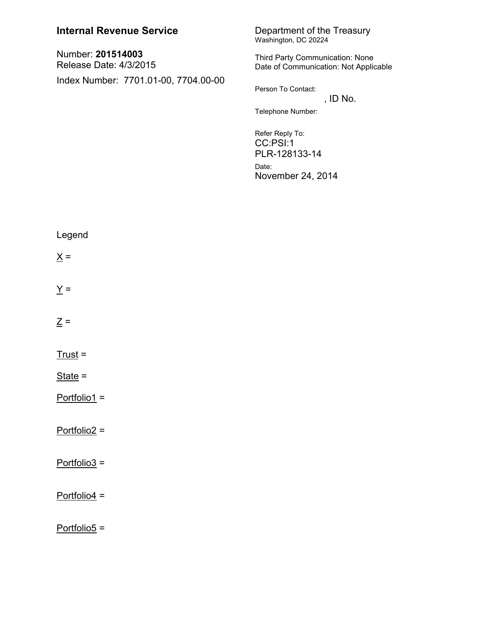## Department of the Treasury<br>Washington, DC 20224 **Internal Revenue Service** Number: 201514003 Third Party Communication: None Release Date: 4/3/2015 Date of Communication: Not Applicable Index Number: 7701.01-00, 7704.00-00 Person To Contact: , ID No. Telephone Number: Refer Reply To: CC:PSI:1 PLR-128133-14 Date: November 24, 2014 Legend  $\underline{X} =$  $Y =$  $\underline{Z} =$  $Trust =$ State  $=$ Portfolio1 = Portfolio2 = Portfolio3 =  $Portfolio4 =$ Portfolio5 =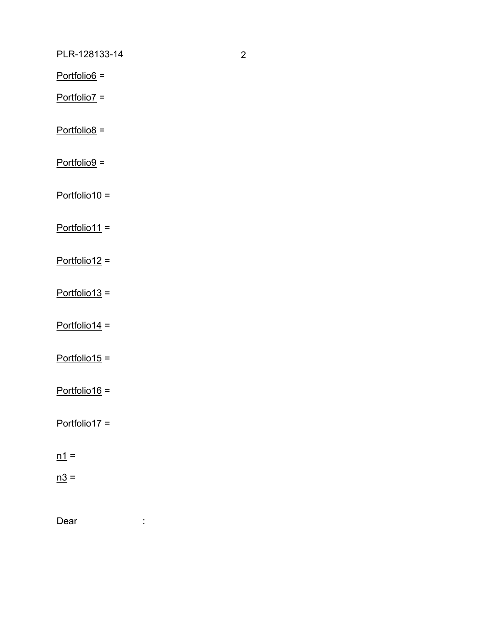PLR-128133-14

 $Portfolio6 =$ 

 $Portfolio7 =$ 

 $Portfolio8 =$ 

 $Portfolio9 =$ 

 $Portfolio10 =$ 

 $Portfolio11 =$ 

 $Portfolio12 =$ 

 $Portfolio13 =$ 

 $Portfolio14 =$ 

 $Portfolio15 =$ 

 $Portfolio16 =$ 

 $Portfolio17 =$ 

 $\underline{n1}$  =

 $n3 =$ 

Dear

 $\mathcal{L}^{\text{max}}_{\text{max}}$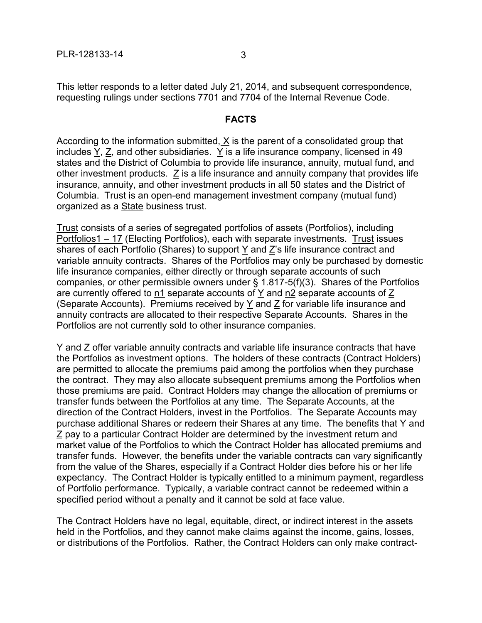This letter responds to a letter dated July 21, 2014, and subsequent correspondence, requesting rulings under sections 7701 and 7704 of the Internal Revenue Code.

## **FACTS**

According to the information submitted,  $X$  is the parent of a consolidated group that includes Y, Z, and other subsidiaries. Y is a life insurance company, licensed in 49 states and the District of Columbia to provide life insurance, annuity, mutual fund, and other investment products. Z is a life insurance and annuity company that provides life insurance, annuity, and other investment products in all 50 states and the District of Columbia. Trust is an open-end management investment company (mutual fund) organized as a State business trust.

Trust consists of a series of segregated portfolios of assets (Portfolios), including Portfolios1 – 17 (Electing Portfolios), each with separate investments. Trust issues shares of each Portfolio (Shares) to support  $\underline{Y}$  and  $\underline{Z}$ 's life insurance contract and variable annuity contracts. Shares of the Portfolios may only be purchased by domestic life insurance companies, either directly or through separate accounts of such companies, or other permissible owners under § 1.817-5(f)(3). Shares of the Portfolios are currently offered to n1 separate accounts of Y and n2 separate accounts of Z (Separate Accounts). Premiums received by Y and Z for variable life insurance and annuity contracts are allocated to their respective Separate Accounts. Shares in the Portfolios are not currently sold to other insurance companies.

Y and Z offer variable annuity contracts and variable life insurance contracts that have the Portfolios as investment options. The holders of these contracts (Contract Holders) are permitted to allocate the premiums paid among the portfolios when they purchase the contract. They may also allocate subsequent premiums among the Portfolios when those premiums are paid. Contract Holders may change the allocation of premiums or transfer funds between the Portfolios at any time. The Separate Accounts, at the direction of the Contract Holders, invest in the Portfolios. The Separate Accounts may purchase additional Shares or redeem their Shares at any time. The benefits that  $Y$  and Z pay to a particular Contract Holder are determined by the investment return and market value of the Portfolios to which the Contract Holder has allocated premiums and transfer funds. However, the benefits under the variable contracts can vary significantly from the value of the Shares, especially if a Contract Holder dies before his or her life expectancy. The Contract Holder is typically entitled to a minimum payment, regardless of Portfolio performance. Typically, a variable contract cannot be redeemed within a specified period without a penalty and it cannot be sold at face value.

The Contract Holders have no legal, equitable, direct, or indirect interest in the assets held in the Portfolios, and they cannot make claims against the income, gains, losses, or distributions of the Portfolios. Rather, the Contract Holders can only make contract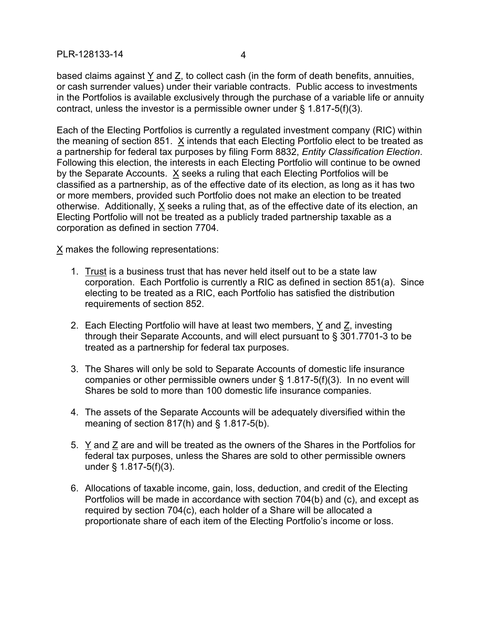PLR-128133-14 4

based claims against Y and Z, to collect cash (in the form of death benefits, annuities, or cash surrender values) under their variable contracts. Public access to investments in the Portfolios is available exclusively through the purchase of a variable life or annuity contract, unless the investor is a permissible owner under § 1.817-5(f)(3).

Each of the Electing Portfolios is currently a regulated investment company (RIC) within the meaning of section 851. X intends that each Electing Portfolio elect to be treated as a partnership for federal tax purposes by filing Form 8832, *Entity Classification Election*. Following this election, the interests in each Electing Portfolio will continue to be owned by the Separate Accounts. X seeks a ruling that each Electing Portfolios will be classified as a partnership, as of the effective date of its election, as long as it has two or more members, provided such Portfolio does not make an election to be treated otherwise. Additionally, X seeks a ruling that, as of the effective date of its election, an Electing Portfolio will not be treated as a publicly traded partnership taxable as a corporation as defined in section 7704.

 $X$  makes the following representations:

- 1. Trust is a business trust that has never held itself out to be a state law corporation. Each Portfolio is currently a RIC as defined in section 851(a). Since electing to be treated as a RIC, each Portfolio has satisfied the distribution requirements of section 852.
- 2. Each Electing Portfolio will have at least two members, Y and Z, investing through their Separate Accounts, and will elect pursuant to § 301.7701-3 to be treated as a partnership for federal tax purposes.
- 3. The Shares will only be sold to Separate Accounts of domestic life insurance companies or other permissible owners under § 1.817-5(f)(3). In no event will Shares be sold to more than 100 domestic life insurance companies.
- 4. The assets of the Separate Accounts will be adequately diversified within the meaning of section  $817(h)$  and  $\S$  1.817-5(b).
- 5. Y and Z are and will be treated as the owners of the Shares in the Portfolios for federal tax purposes, unless the Shares are sold to other permissible owners under § 1.817-5(f)(3).
- 6. Allocations of taxable income, gain, loss, deduction, and credit of the Electing Portfolios will be made in accordance with section 704(b) and (c), and except as required by section 704(c), each holder of a Share will be allocated a proportionate share of each item of the Electing Portfolio's income or loss.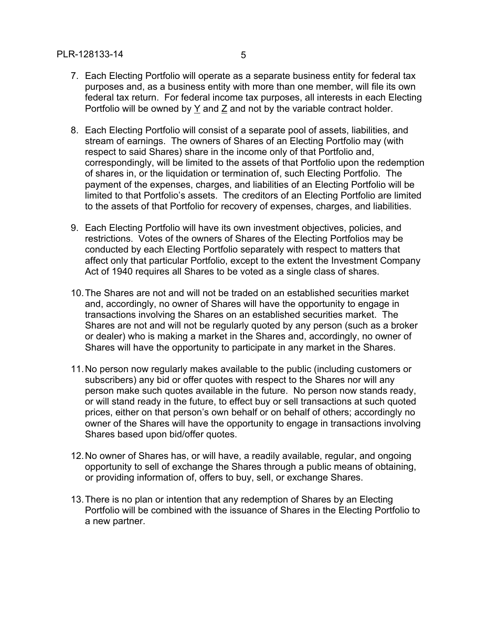- 7. Each Electing Portfolio will operate as a separate business entity for federal tax purposes and, as a business entity with more than one member, will file its own federal tax return. For federal income tax purposes, all interests in each Electing Portfolio will be owned by Y and Z and not by the variable contract holder.
- 8. Each Electing Portfolio will consist of a separate pool of assets, liabilities, and stream of earnings. The owners of Shares of an Electing Portfolio may (with respect to said Shares) share in the income only of that Portfolio and, correspondingly, will be limited to the assets of that Portfolio upon the redemption of shares in, or the liquidation or termination of, such Electing Portfolio. The payment of the expenses, charges, and liabilities of an Electing Portfolio will be limited to that Portfolio's assets. The creditors of an Electing Portfolio are limited to the assets of that Portfolio for recovery of expenses, charges, and liabilities.
- 9. Each Electing Portfolio will have its own investment objectives, policies, and restrictions. Votes of the owners of Shares of the Electing Portfolios may be conducted by each Electing Portfolio separately with respect to matters that affect only that particular Portfolio, except to the extent the Investment Company Act of 1940 requires all Shares to be voted as a single class of shares.
- 10.The Shares are not and will not be traded on an established securities market and, accordingly, no owner of Shares will have the opportunity to engage in transactions involving the Shares on an established securities market. The Shares are not and will not be regularly quoted by any person (such as a broker or dealer) who is making a market in the Shares and, accordingly, no owner of Shares will have the opportunity to participate in any market in the Shares.
- 11.No person now regularly makes available to the public (including customers or subscribers) any bid or offer quotes with respect to the Shares nor will any person make such quotes available in the future. No person now stands ready, or will stand ready in the future, to effect buy or sell transactions at such quoted prices, either on that person's own behalf or on behalf of others; accordingly no owner of the Shares will have the opportunity to engage in transactions involving Shares based upon bid/offer quotes.
- 12.No owner of Shares has, or will have, a readily available, regular, and ongoing opportunity to sell of exchange the Shares through a public means of obtaining, or providing information of, offers to buy, sell, or exchange Shares.
- 13.There is no plan or intention that any redemption of Shares by an Electing Portfolio will be combined with the issuance of Shares in the Electing Portfolio to a new partner.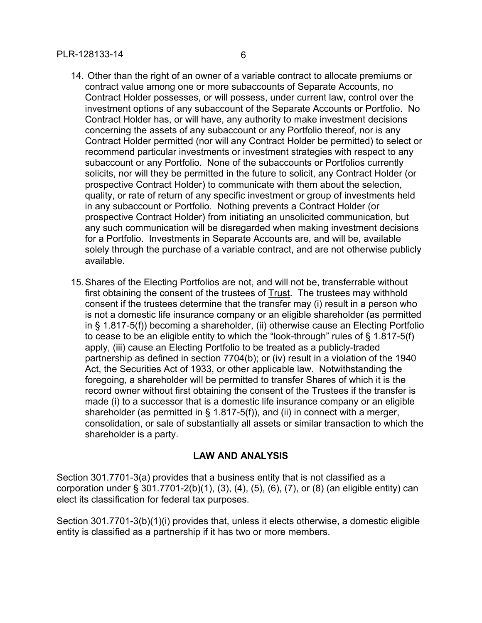- contract value among one or more subaccounts of Separate Accounts, no Contract Holder possesses, or will possess, under current law, control over the investment options of any subaccount of the Separate Accounts or Portfolio. No Contract Holder has, or will have, any authority to make investment decisions concerning the assets of any subaccount or any Portfolio thereof, nor is any Contract Holder permitted (nor will any Contract Holder be permitted) to select or recommend particular investments or investment strategies with respect to any subaccount or any Portfolio. None of the subaccounts or Portfolios currently solicits, nor will they be permitted in the future to solicit, any Contract Holder (or prospective Contract Holder) to communicate with them about the selection, quality, or rate of return of any specific investment or group of investments held in any subaccount or Portfolio. Nothing prevents a Contract Holder (or prospective Contract Holder) from initiating an unsolicited communication, but any such communication will be disregarded when making investment decisions for a Portfolio. Investments in Separate Accounts are, and will be, available solely through the purchase of a variable contract, and are not otherwise publicly available.
- 15.Shares of the Electing Portfolios are not, and will not be, transferrable without first obtaining the consent of the trustees of Trust. The trustees may withhold consent if the trustees determine that the transfer may (i) result in a person who is not a domestic life insurance company or an eligible shareholder (as permitted in § 1.817-5(f)) becoming a shareholder, (ii) otherwise cause an Electing Portfolio to cease to be an eligible entity to which the "look-through" rules of § 1.817-5(f) apply, (iii) cause an Electing Portfolio to be treated as a publicly-traded partnership as defined in section 7704(b); or (iv) result in a violation of the 1940 Act, the Securities Act of 1933, or other applicable law. Notwithstanding the foregoing, a shareholder will be permitted to transfer Shares of which it is the record owner without first obtaining the consent of the Trustees if the transfer is made (i) to a successor that is a domestic life insurance company or an eligible shareholder (as permitted in  $\S$  1.817-5(f)), and (ii) in connect with a merger, consolidation, or sale of substantially all assets or similar transaction to which the shareholder is a party.

## **LAW AND ANALYSIS**

Section 301.7701-3(a) provides that a business entity that is not classified as a corporation under § 301.7701-2(b)(1), (3), (4), (5), (6), (7), or (8) (an eligible entity) can elect its classification for federal tax purposes.

Section 301.7701-3(b)(1)(i) provides that, unless it elects otherwise, a domestic eligible entity is classified as a partnership if it has two or more members.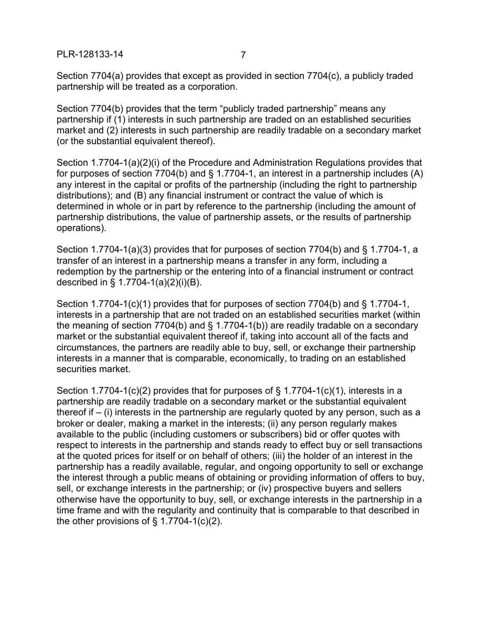PLR-128133-14 7

Section 7704(a) provides that except as provided in section 7704(c), a publicly traded partnership will be treated as a corporation.

Section 7704(b) provides that the term "publicly traded partnership" means any partnership if (1) interests in such partnership are traded on an established securities market and (2) interests in such partnership are readily tradable on a secondary market (or the substantial equivalent thereof).

Section 1.7704-1(a)(2)(i) of the Procedure and Administration Regulations provides that for purposes of section 7704(b) and § 1.7704-1, an interest in a partnership includes (A) any interest in the capital or profits of the partnership (including the right to partnership distributions); and (B) any financial instrument or contract the value of which is determined in whole or in part by reference to the partnership (including the amount of partnership distributions, the value of partnership assets, or the results of partnership operations).

Section 1.7704-1(a)(3) provides that for purposes of section 7704(b) and § 1.7704-1, a transfer of an interest in a partnership means a transfer in any form, including a redemption by the partnership or the entering into of a financial instrument or contract described in § 1.7704-1(a)(2)(i)(B).

Section 1.7704-1(c)(1) provides that for purposes of section 7704(b) and § 1.7704-1, interests in a partnership that are not traded on an established securities market (within the meaning of section 7704(b) and § 1.7704-1(b)) are readily tradable on a secondary market or the substantial equivalent thereof if, taking into account all of the facts and circumstances, the partners are readily able to buy, sell, or exchange their partnership interests in a manner that is comparable, economically, to trading on an established securities market.

Section 1.7704-1(c)(2) provides that for purposes of  $\S$  1.7704-1(c)(1), interests in a partnership are readily tradable on a secondary market or the substantial equivalent thereof if  $-$  (i) interests in the partnership are regularly quoted by any person, such as a broker or dealer, making a market in the interests; (ii) any person regularly makes available to the public (including customers or subscribers) bid or offer quotes with respect to interests in the partnership and stands ready to effect buy or sell transactions at the quoted prices for itself or on behalf of others; (iii) the holder of an interest in the partnership has a readily available, regular, and ongoing opportunity to sell or exchange the interest through a public means of obtaining or providing information of offers to buy, sell, or exchange interests in the partnership; or (iv) prospective buyers and sellers otherwise have the opportunity to buy, sell, or exchange interests in the partnership in a time frame and with the regularity and continuity that is comparable to that described in the other provisions of  $\S$  1.7704-1(c)(2).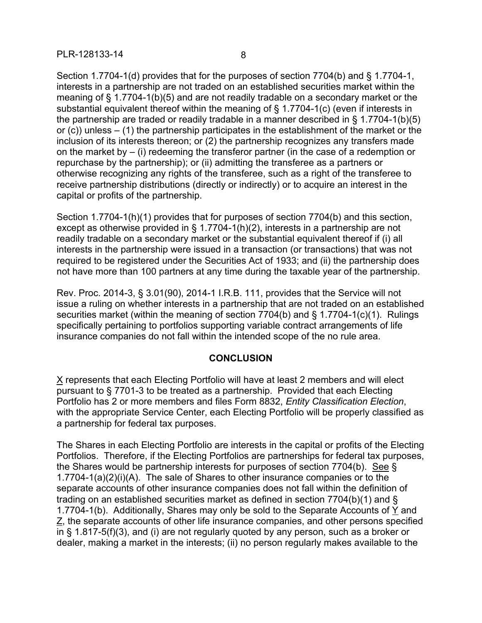Section 1.7704-1(d) provides that for the purposes of section 7704(b) and § 1.7704-1, interests in a partnership are not traded on an established securities market within the meaning of § 1.7704-1(b)(5) and are not readily tradable on a secondary market or the substantial equivalent thereof within the meaning of § 1.7704-1(c) (even if interests in the partnership are traded or readily tradable in a manner described in § 1.7704-1(b)(5) or  $(c)$ ) unless – (1) the partnership participates in the establishment of the market or the inclusion of its interests thereon; or (2) the partnership recognizes any transfers made on the market by  $-$  (i) redeeming the transferor partner (in the case of a redemption or repurchase by the partnership); or (ii) admitting the transferee as a partners or otherwise recognizing any rights of the transferee, such as a right of the transferee to receive partnership distributions (directly or indirectly) or to acquire an interest in the capital or profits of the partnership.

Section 1.7704-1(h)(1) provides that for purposes of section 7704(b) and this section, except as otherwise provided in § 1.7704-1(h)(2), interests in a partnership are not readily tradable on a secondary market or the substantial equivalent thereof if (i) all interests in the partnership were issued in a transaction (or transactions) that was not required to be registered under the Securities Act of 1933; and (ii) the partnership does not have more than 100 partners at any time during the taxable year of the partnership.

Rev. Proc. 2014-3, § 3.01(90), 2014-1 I.R.B. 111, provides that the Service will not issue a ruling on whether interests in a partnership that are not traded on an established securities market (within the meaning of section  $7704(b)$  and § 1.7704-1(c)(1). Rulings specifically pertaining to portfolios supporting variable contract arrangements of life insurance companies do not fall within the intended scope of the no rule area.

## **CONCLUSION**

X represents that each Electing Portfolio will have at least 2 members and will elect pursuant to § 7701-3 to be treated as a partnership. Provided that each Electing Portfolio has 2 or more members and files Form 8832, *Entity Classification Election*, with the appropriate Service Center, each Electing Portfolio will be properly classified as a partnership for federal tax purposes.

The Shares in each Electing Portfolio are interests in the capital or profits of the Electing Portfolios. Therefore, if the Electing Portfolios are partnerships for federal tax purposes, the Shares would be partnership interests for purposes of section 7704(b). See § 1.7704-1(a)(2)(i)(A). The sale of Shares to other insurance companies or to the separate accounts of other insurance companies does not fall within the definition of trading on an established securities market as defined in section 7704(b)(1) and § 1.7704-1(b). Additionally, Shares may only be sold to the Separate Accounts of Y and Z, the separate accounts of other life insurance companies, and other persons specified in § 1.817-5(f)(3), and (i) are not regularly quoted by any person, such as a broker or dealer, making a market in the interests; (ii) no person regularly makes available to the